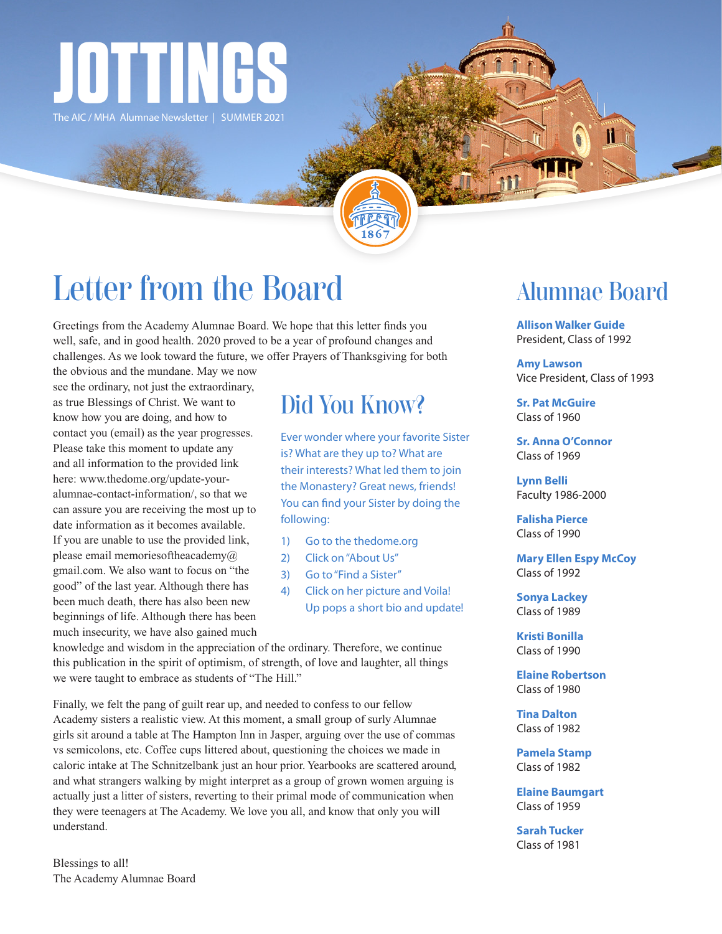

The AIC / MHA Alumnae Newsletter | SUMMER 2021

# Letter from the Board

Greetings from the Academy Alumnae Board. We hope that this letter finds you well, safe, and in good health. 2020 proved to be a year of profound changes and challenges. As we look toward the future, we offer Prayers of Thanksgiving for both

the obvious and the mundane. May we now see the ordinary, not just the extraordinary, as true Blessings of Christ. We want to know how you are doing, and how to contact you (email) as the year progresses. Please take this moment to update any and all information to the provided link here: www.thedome.org/update-youralumnae-contact-information/, so that we can assure you are receiving the most up to date information as it becomes available. If you are unable to use the provided link, please email memoriesoftheacademy $@$ gmail.com. We also want to focus on "the good" of the last year. Although there has been much death, there has also been new beginnings of life. Although there has been much insecurity, we have also gained much

## Did You Know?

Ever wonder where your favorite Sister is? What are they up to? What are their interests? What led them to join the Monastery? Great news, friends! You can find your Sister by doing the following:

- 1) Go to the thedome.org
- 2) Click on "About Us"
- 3) Go to "Find a Sister"
- 4) Click on her picture and Voila! Up pops a short bio and update!

knowledge and wisdom in the appreciation of the ordinary. Therefore, we continue this publication in the spirit of optimism, of strength, of love and laughter, all things we were taught to embrace as students of "The Hill."

Finally, we felt the pang of guilt rear up, and needed to confess to our fellow Academy sisters a realistic view. At this moment, a small group of surly Alumnae girls sit around a table at The Hampton Inn in Jasper, arguing over the use of commas vs semicolons, etc. Coffee cups littered about, questioning the choices we made in caloric intake at The Schnitzelbank just an hour prior. Yearbooks are scattered around, and what strangers walking by might interpret as a group of grown women arguing is actually just a litter of sisters, reverting to their primal mode of communication when they were teenagers at The Academy. We love you all, and know that only you will understand.

Blessings to all! The Academy Alumnae Board

### Alumnae Board

Ħ

**Allison Walker Guide** President, Class of 1992

**Amy Lawson** Vice President, Class of 1993

**Sr. Pat McGuire** Class of 1960

**Sr. Anna O'Connor** Class of 1969

**Lynn Belli** Faculty 1986-2000

**Falisha Pierce** Class of 1990

**Mary Ellen Espy McCoy** Class of 1992

**Sonya Lackey** Class of 1989

**Kristi Bonilla** Class of 1990

**Elaine Robertson** Class of 1980

**Tina Dalton** Class of 1982

**Pamela Stamp** Class of 1982

**Elaine Baumgart** Class of 1959

**Sarah Tucker** Class of 1981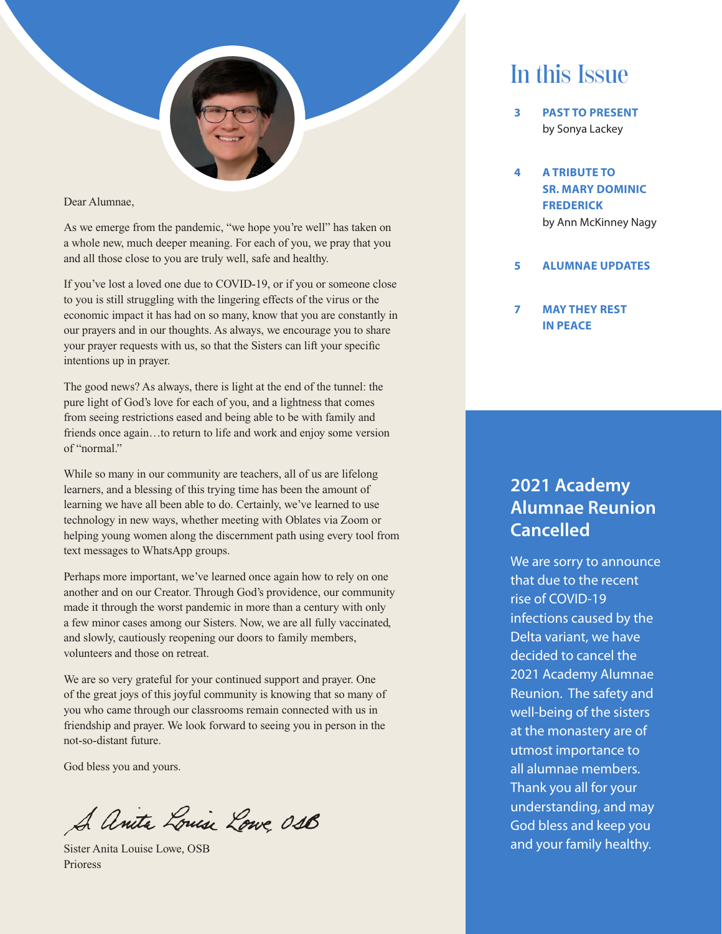

Dear Alumnae,

As we emerge from the pandemic, "we hope you're well" has taken on a whole new, much deeper meaning. For each of you, we pray that you and all those close to you are truly well, safe and healthy.

If you've lost a loved one due to COVID-19, or if you or someone close to you is still struggling with the lingering effects of the virus or the economic impact it has had on so many, know that you are constantly in our prayers and in our thoughts. As always, we encourage you to share your prayer requests with us, so that the Sisters can lift your specific intentions up in prayer.

The good news? As always, there is light at the end of the tunnel: the pure light of God's love for each of you, and a lightness that comes from seeing restrictions eased and being able to be with family and friends once again…to return to life and work and enjoy some version of "normal."

While so many in our community are teachers, all of us are lifelong learners, and a blessing of this trying time has been the amount of learning we have all been able to do. Certainly, we've learned to use technology in new ways, whether meeting with Oblates via Zoom or helping young women along the discernment path using every tool from text messages to WhatsApp groups.

Perhaps more important, we've learned once again how to rely on one another and on our Creator. Through God's providence, our community made it through the worst pandemic in more than a century with only a few minor cases among our Sisters. Now, we are all fully vaccinated, and slowly, cautiously reopening our doors to family members, volunteers and those on retreat.

We are so very grateful for your continued support and prayer. One of the great joys of this joyful community is knowing that so many of you who came through our classrooms remain connected with us in friendship and prayer. We look forward to seeing you in person in the not-so-distant future.

God bless you and yours.

A Anita Louise Lowe, 018

Sister Anita Louise Lowe, OSB Prioress

## In this Issue

- **3 PAST TO PRESENT** by Sonya Lackey
- **4 A TRIBUTE TO SR. MARY DOMINIC FREDERICK** by Ann McKinney Nagy
- **5 ALUMNAE UPDATES**
- **7 MAY THEY REST IN PEACE**

### **2021 Academy Alumnae Reunion Cancelled**

We are sorry to announce that due to the recent rise of COVID-19 infections caused by the Delta variant, we have decided to cancel the 2021 Academy Alumnae Reunion. The safety and well-being of the sisters at the monastery are of utmost importance to all alumnae members. Thank you all for your understanding, and may God bless and keep you and your family healthy.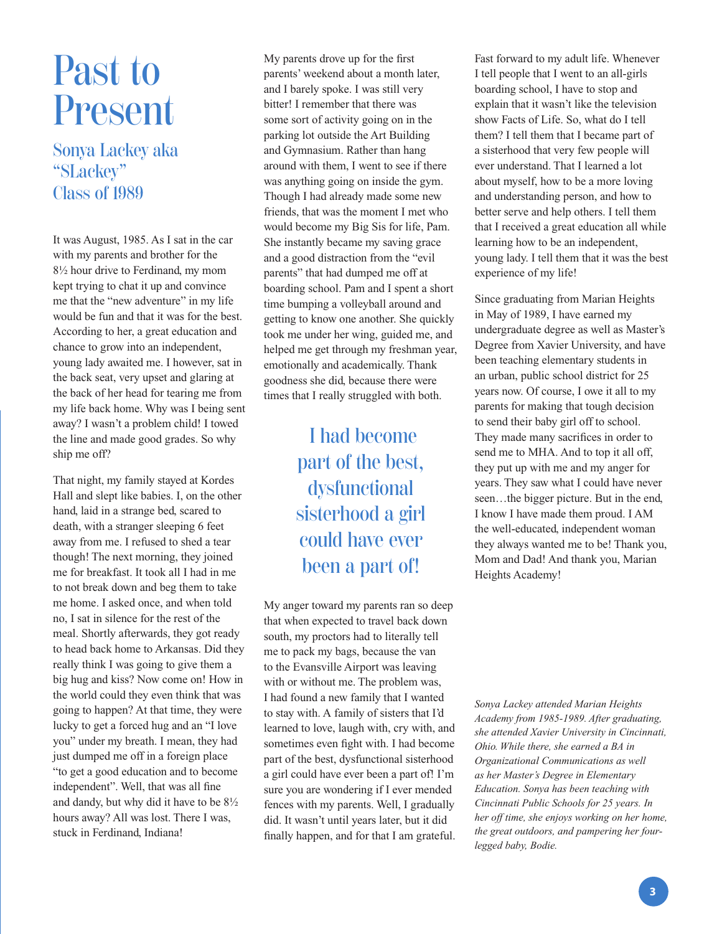# Past to Present

Sonya Lackey aka "SLackey" Class of 1989

It was August, 1985. As I sat in the car with my parents and brother for the 8½ hour drive to Ferdinand, my mom kept trying to chat it up and convince me that the "new adventure" in my life would be fun and that it was for the best. According to her, a great education and chance to grow into an independent, young lady awaited me. I however, sat in the back seat, very upset and glaring at the back of her head for tearing me from my life back home. Why was I being sent away? I wasn't a problem child! I towed the line and made good grades. So why ship me off?

That night, my family stayed at Kordes Hall and slept like babies. I, on the other hand, laid in a strange bed, scared to death, with a stranger sleeping 6 feet away from me. I refused to shed a tear though! The next morning, they joined me for breakfast. It took all I had in me to not break down and beg them to take me home. I asked once, and when told no, I sat in silence for the rest of the meal. Shortly afterwards, they got ready to head back home to Arkansas. Did they really think I was going to give them a big hug and kiss? Now come on! How in the world could they even think that was going to happen? At that time, they were lucky to get a forced hug and an "I love you" under my breath. I mean, they had just dumped me off in a foreign place "to get a good education and to become independent". Well, that was all fine and dandy, but why did it have to be 8½ hours away? All was lost. There I was, stuck in Ferdinand, Indiana!

My parents drove up for the first parents' weekend about a month later, and I barely spoke. I was still very bitter! I remember that there was some sort of activity going on in the parking lot outside the Art Building and Gymnasium. Rather than hang around with them, I went to see if there was anything going on inside the gym. Though I had already made some new friends, that was the moment I met who would become my Big Sis for life, Pam. She instantly became my saving grace and a good distraction from the "evil parents" that had dumped me off at boarding school. Pam and I spent a short time bumping a volleyball around and getting to know one another. She quickly took me under her wing, guided me, and helped me get through my freshman year, emotionally and academically. Thank goodness she did, because there were times that I really struggled with both.

> I had become part of the best, dysfunctional sisterhood a girl could have ever been a part of!

My anger toward my parents ran so deep that when expected to travel back down south, my proctors had to literally tell me to pack my bags, because the van to the Evansville Airport was leaving with or without me. The problem was, I had found a new family that I wanted to stay with. A family of sisters that I'd learned to love, laugh with, cry with, and sometimes even fight with. I had become part of the best, dysfunctional sisterhood a girl could have ever been a part of! I'm sure you are wondering if I ever mended fences with my parents. Well, I gradually did. It wasn't until years later, but it did finally happen, and for that I am grateful. Fast forward to my adult life. Whenever I tell people that I went to an all-girls boarding school, I have to stop and explain that it wasn't like the television show Facts of Life. So, what do I tell them? I tell them that I became part of a sisterhood that very few people will ever understand. That I learned a lot about myself, how to be a more loving and understanding person, and how to better serve and help others. I tell them that I received a great education all while learning how to be an independent, young lady. I tell them that it was the best experience of my life!

Since graduating from Marian Heights in May of 1989, I have earned my undergraduate degree as well as Master's Degree from Xavier University, and have been teaching elementary students in an urban, public school district for 25 years now. Of course, I owe it all to my parents for making that tough decision to send their baby girl off to school. They made many sacrifices in order to send me to MHA. And to top it all off, they put up with me and my anger for years. They saw what I could have never seen…the bigger picture. But in the end, I know I have made them proud. I AM the well-educated, independent woman they always wanted me to be! Thank you, Mom and Dad! And thank you, Marian Heights Academy!

*Sonya Lackey attended Marian Heights Academy from 1985-1989. After graduating, she attended Xavier University in Cincinnati, Ohio. While there, she earned a BA in Organizational Communications as well as her Master's Degree in Elementary Education. Sonya has been teaching with Cincinnati Public Schools for 25 years. In her off time, she enjoys working on her home, the great outdoors, and pampering her fourlegged baby, Bodie.*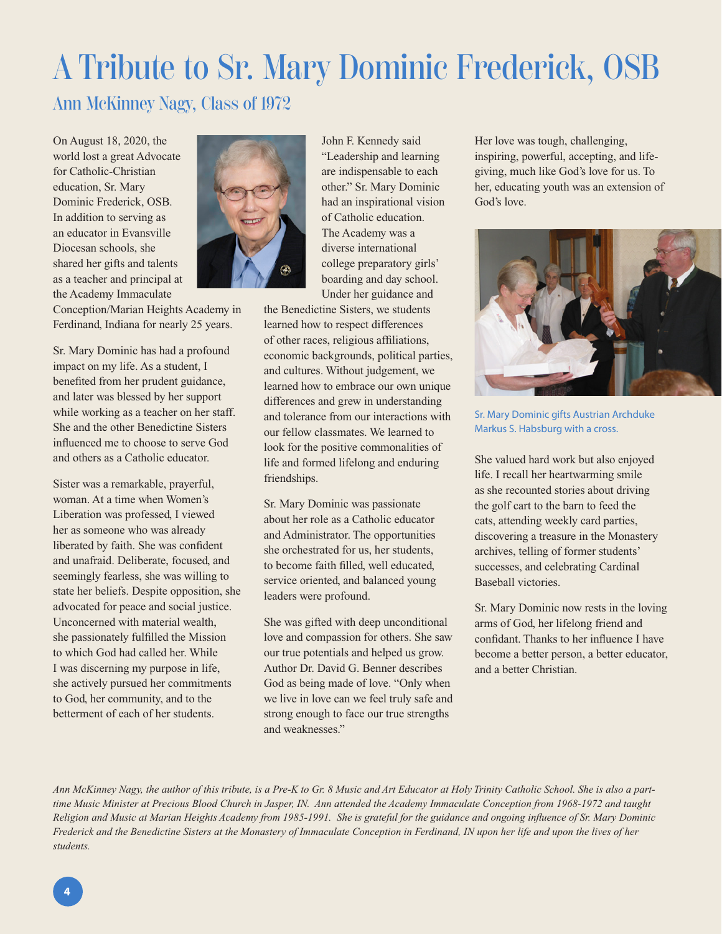# A Tribute to Sr. Mary Dominic Frederick, OSB Ann McKinney Nagy, Class of 1972

On August 18, 2020, the world lost a great Advocate for Catholic-Christian education, Sr. Mary Dominic Frederick, OSB. In addition to serving as an educator in Evansville Diocesan schools, she shared her gifts and talents as a teacher and principal at the Academy Immaculate



Conception/Marian Heights Academy in Ferdinand, Indiana for nearly 25 years.

Sr. Mary Dominic has had a profound impact on my life. As a student, I benefited from her prudent guidance, and later was blessed by her support while working as a teacher on her staff. She and the other Benedictine Sisters influenced me to choose to serve God and others as a Catholic educator.

Sister was a remarkable, prayerful, woman. At a time when Women's Liberation was professed, I viewed her as someone who was already liberated by faith. She was confident and unafraid. Deliberate, focused, and seemingly fearless, she was willing to state her beliefs. Despite opposition, she advocated for peace and social justice. Unconcerned with material wealth, she passionately fulfilled the Mission to which God had called her. While I was discerning my purpose in life, she actively pursued her commitments to God, her community, and to the betterment of each of her students.



the Benedictine Sisters, we students learned how to respect differences of other races, religious affiliations, economic backgrounds, political parties, and cultures. Without judgement, we learned how to embrace our own unique differences and grew in understanding and tolerance from our interactions with our fellow classmates. We learned to look for the positive commonalities of life and formed lifelong and enduring friendships.

Sr. Mary Dominic was passionate about her role as a Catholic educator and Administrator. The opportunities she orchestrated for us, her students, to become faith filled, well educated, service oriented, and balanced young leaders were profound.

She was gifted with deep unconditional love and compassion for others. She saw our true potentials and helped us grow. Author Dr. David G. Benner describes God as being made of love. "Only when we live in love can we feel truly safe and strong enough to face our true strengths and weaknesses."

Her love was tough, challenging, inspiring, powerful, accepting, and lifegiving, much like God's love for us. To her, educating youth was an extension of God's love.



Sr. Mary Dominic gifts Austrian Archduke Markus S. Habsburg with a cross.

She valued hard work but also enjoyed life. I recall her heartwarming smile as she recounted stories about driving the golf cart to the barn to feed the cats, attending weekly card parties, discovering a treasure in the Monastery archives, telling of former students' successes, and celebrating Cardinal Baseball victories.

Sr. Mary Dominic now rests in the loving arms of God, her lifelong friend and confidant. Thanks to her influence I have become a better person, a better educator, and a better Christian.

*Ann McKinney Nagy, the author of this tribute, is a Pre-K to Gr. 8 Music and Art Educator at Holy Trinity Catholic School. She is also a parttime Music Minister at Precious Blood Church in Jasper, IN. Ann attended the Academy Immaculate Conception from 1968-1972 and taught Religion and Music at Marian Heights Academy from 1985-1991. She is grateful for the guidance and ongoing influence of Sr. Mary Dominic Frederick and the Benedictine Sisters at the Monastery of Immaculate Conception in Ferdinand, IN upon her life and upon the lives of her students.*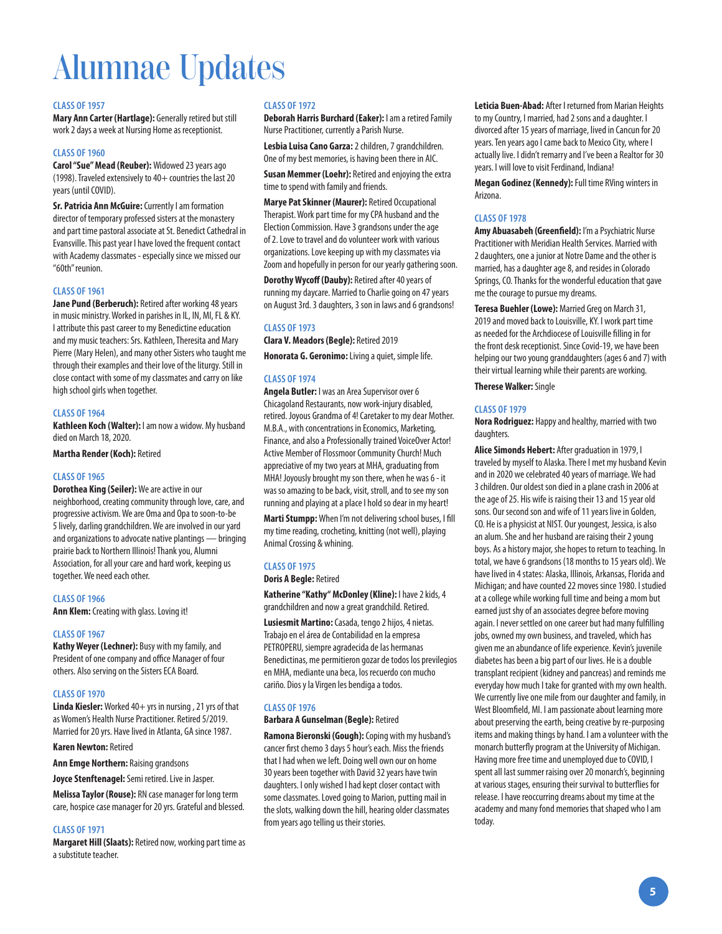# Alumnae Updates

#### **CLASS OF 1957**

**Mary Ann Carter (Hartlage):** Generally retired but still work 2 days a week at Nursing Home as receptionist.

#### **CLASS OF 1960**

**Carol "Sue" Mead (Reuber):** Widowed 23 years ago (1998). Traveled extensively to 40+ countries the last 20 years (until COVID).

**Sr. Patricia Ann McGuire:** Currently I am formation director of temporary professed sisters at the monastery and part time pastoral associate at St. Benedict Cathedral in Evansville. This past year I have loved the frequent contact with Academy classmates - especially since we missed our "60th" reunion.

#### **CLASS OF 1961**

**Jane Pund (Berberuch):** Retired after working 48 years in music ministry. Worked in parishes in IL, IN, MI, FL & KY. I attribute this past career to my Benedictine education and my music teachers: Srs. Kathleen, Theresita and Mary Pierre (Mary Helen), and many other Sisters who taught me through their examples and their love of the liturgy. Still in close contact with some of my classmates and carry on like high school girls when together.

#### **CLASS OF 1964**

**Kathleen Koch (Walter):** I am now a widow. My husband died on March 18, 2020.

**Martha Render (Koch):** Retired

#### **CLASS OF 1965**

**Dorothea King (Seiler):** We are active in our neighborhood, creating community through love, care, and progressive activism. We are Oma and Opa to soon-to-be 5 lively, darling grandchildren. We are involved in our yard and organizations to advocate native plantings — bringing prairie back to Northern Illinois! Thank you, Alumni Association, for all your care and hard work, keeping us together. We need each other.

#### **CLASS OF 1966**

**Ann Klem:** Creating with glass. Loving it!

#### **CLASS OF 1967**

**Kathy Weyer (Lechner):** Busy with my family, and President of one company and office Manager of four others. Also serving on the Sisters ECA Board.

#### **CLASS OF 1970**

**Linda Kiesler:** Worked 40+ yrs in nursing, 21 yrs of that as Women's Health Nurse Practitioner. Retired 5/2019. Married for 20 yrs. Have lived in Atlanta, GA since 1987.

#### **Karen Newton:** Retired

**Ann Emge Northern:** Raising grandsons

**Joyce Stenftenagel:** Semi retired. Live in Jasper.

**Melissa Taylor (Rouse):** RN case manager for long term care, hospice case manager for 20 yrs. Grateful and blessed.

#### **CLASS OF 1971**

**Margaret Hill (Slaats):** Retired now, working part time as a substitute teacher.

#### **CLASS OF 1972**

**Deborah Harris Burchard (Eaker):** I am a retired Family Nurse Practitioner, currently a Parish Nurse.

**Lesbia Luisa Cano Garza:** 2 children, 7 grandchildren. One of my best memories, is having been there in AIC.

**Susan Memmer (Loehr): Retired and enjoying the extra** time to spend with family and friends.

**Marye Pat Skinner (Maurer):** Retired Occupational Therapist. Work part time for my CPA husband and the Election Commission. Have 3 grandsons under the age of 2. Love to travel and do volunteer work with various organizations. Love keeping up with my classmates via Zoom and hopefully in person for our yearly gathering soon.

**Dorothy Wycoff (Dauby):** Retired after 40 years of running my daycare. Married to Charlie going on 47 years on August 3rd. 3 daughters, 3 son in laws and 6 grandsons!

#### **CLASS OF 1973**

**Clara V. Meadors (Begle):** Retired 2019 **Honorata G. Geronimo:** Living a quiet, simple life.

#### **CLASS OF 1974**

**Angela Butler:** I was an Area Supervisor over 6 Chicagoland Restaurants, now work-injury disabled, retired. Joyous Grandma of 4! Caretaker to my dear Mother. M.B.A., with concentrations in Economics, Marketing, Finance, and also a Professionally trained VoiceOver Actor! Active Member of Flossmoor Community Church! Much appreciative of my two years at MHA, graduating from MHA! Joyously brought my son there, when he was 6 - it was so amazing to be back, visit, stroll, and to see my son running and playing at a place I hold so dear in my heart!

**Marti Stumpp:** When I'm not delivering school buses, I fill my time reading, crocheting, knitting (not well), playing Animal Crossing & whining.

#### **CLASS OF 1975**

**Doris A Begle:** Retired

**Katherine "Kathy" McDonley (Kline):** I have 2 kids, 4 grandchildren and now a great grandchild. Retired.

**Lusiesmit Martino:** Casada, tengo 2 hijos, 4 nietas. Trabajo en el área de Contabilidad en la empresa PETROPERU, siempre agradecida de las hermanas Benedictinas, me permitieron gozar de todos los previlegios en MHA, mediante una beca, los recuerdo con mucho cariño. Dios y la Virgen les bendiga a todos.

#### **CLASS OF 1976**

#### **Barbara A Gunselman (Begle):** Retired

**Ramona Bieronski (Gough):** Coping with my husband's cancer first chemo 3 days 5 hour's each. Miss the friends that I had when we left. Doing well own our on home 30 years been together with David 32 years have twin daughters. I only wished I had kept closer contact with some classmates. Loved going to Marion, putting mail in the slots, walking down the hill, hearing older classmates from years ago telling us their stories.

**Leticia Buen-Abad:** After I returned from Marian Heights to my Country, I married, had 2 sons and a daughter. I divorced after 15 years of marriage, lived in Cancun for 20 years. Ten years ago I came back to Mexico City, where I actually live. I didn't remarry and I've been a Realtor for 30 years. I will love to visit Ferdinand, Indiana!

**Megan Godinez (Kennedy):** Full time RVing winters in Arizona.

#### **CLASS OF 1978**

**Amy Abuasabeh (Greenfield):** I'm a Psychiatric Nurse Practitioner with Meridian Health Services. Married with 2 daughters, one a junior at Notre Dame and the other is married, has a daughter age 8, and resides in Colorado Springs, CO. Thanks for the wonderful education that gave me the courage to pursue my dreams.

**Teresa Buehler (Lowe):** Married Greg on March 31, 2019 and moved back to Louisville, KY. I work part time as needed for the Archdiocese of Louisville filling in for the front desk receptionist. Since Covid-19, we have been helping our two young granddaughters (ages 6 and 7) with their virtual learning while their parents are working.

**Therese Walker:** Single

#### **CLASS OF 1979**

**Nora Rodriguez:** Happy and healthy, married with two daughters.

**Alice Simonds Hebert:** After graduation in 1979, I traveled by myself to Alaska. There I met my husband Kevin and in 2020 we celebrated 40 years of marriage. We had 3 children. Our oldest son died in a plane crash in 2006 at the age of 25. His wife is raising their 13 and 15 year old sons. Our second son and wife of 11 years live in Golden, CO. He is a physicist at NIST. Our youngest, Jessica, is also an alum. She and her husband are raising their 2 young boys. As a history major, she hopes to return to teaching. In total, we have 6 grandsons (18 months to 15 years old). We have lived in 4 states: Alaska, Illinois, Arkansas, Florida and Michigan; and have counted 22 moves since 1980. I studied at a college while working full time and being a mom but earned just shy of an associates degree before moving again. I never settled on one career but had many fulfilling jobs, owned my own business, and traveled, which has given me an abundance of life experience. Kevin's juvenile diabetes has been a big part of our lives. He is a double transplant recipient (kidney and pancreas) and reminds me everyday how much I take for granted with my own health. We currently live one mile from our daughter and family, in West Bloomfield, MI. I am passionate about learning more about preserving the earth, being creative by re-purposing items and making things by hand. I am a volunteer with the monarch butterfly program at the University of Michigan. Having more free time and unemployed due to COVID, I spent all last summer raising over 20 monarch's, beginning at various stages, ensuring their survival to butterflies for release. I have reoccurring dreams about my time at the academy and many fond memories that shaped who I am today.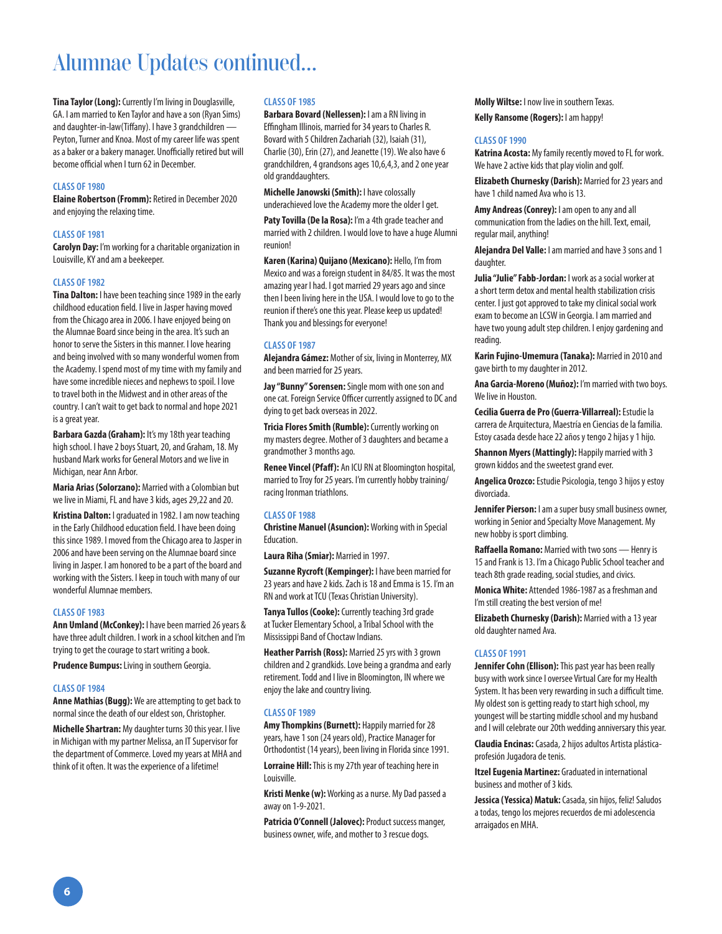## Alumnae Updates continued...

**Tina Taylor (Long):** Currently I'm living in Douglasville, GA. I am married to Ken Taylor and have a son (Ryan Sims) and daughter-in-law(Tiffany). I have 3 grandchildren — Peyton, Turner and Knoa. Most of my career life was spent as a baker or a bakery manager. Unofficially retired but will become official when I turn 62 in December.

#### **CLASS OF 1980**

**Elaine Robertson (Fromm):** Retired in December 2020 and enjoying the relaxing time.

#### **CLASS OF 1981**

**Carolyn Day:** I'm working for a charitable organization in Louisville, KY and am a beekeeper.

#### **CLASS OF 1982**

**Tina Dalton:** I have been teaching since 1989 in the early childhood education field. I live in Jasper having moved from the Chicago area in 2006. I have enjoyed being on the Alumnae Board since being in the area. It's such an honor to serve the Sisters in this manner. I love hearing and being involved with so many wonderful women from the Academy. I spend most of my time with my family and have some incredible nieces and nephews to spoil. I love to travel both in the Midwest and in other areas of the country. I can't wait to get back to normal and hope 2021 is a great year.

**Barbara Gazda (Graham):** It's my 18th year teaching high school. I have 2 boys Stuart, 20, and Graham, 18. My husband Mark works for General Motors and we live in Michigan, near Ann Arbor.

**Maria Arias (Solorzano):** Married with a Colombian but we live in Miami, FL and have 3 kids, ages 29,22 and 20.

**Kristina Dalton:** I graduated in 1982. I am now teaching in the Early Childhood education field. I have been doing this since 1989. I moved from the Chicago area to Jasper in 2006 and have been serving on the Alumnae board since living in Jasper. I am honored to be a part of the board and working with the Sisters. I keep in touch with many of our wonderful Alumnae members.

#### **CLASS OF 1983**

**Ann Umland (McConkey):** I have been married 26 years & have three adult children. I work in a school kitchen and I'm trying to get the courage to start writing a book.

**Prudence Bumpus:** Living in southern Georgia.

#### **CLASS OF 1984**

**Anne Mathias (Bugg):** We are attempting to get back to normal since the death of our eldest son, Christopher.

**Michelle Shartran:** My daughter turns 30 this year. I live in Michigan with my partner Melissa, an IT Supervisor for the department of Commerce. Loved my years at MHA and think of it often. It was the experience of a lifetime!

#### **CLASS OF 1985**

**Barbara Bovard (Nellessen):** I am a RN living in Effingham Illinois, married for 34 years to Charles R. Bovard with 5 Children Zachariah (32), Isaiah (31), Charlie (30), Erin (27), and Jeanette (19). We also have 6 grandchildren, 4 grandsons ages 10,6,4,3, and 2 one year old granddaughters.

**Michelle Janowski (Smith):** I have colossally underachieved love the Academy more the older I get.

Paty Tovilla (De la Rosa): I'm a 4th grade teacher and married with 2 children. I would love to have a huge Alumni reunion!

**Karen (Karina) Quijano (Mexicano):** Hello, I'm from Mexico and was a foreign student in 84/85. It was the most amazing year I had. I got married 29 years ago and since then I been living here in the USA. I would love to go to the reunion if there's one this year. Please keep us updated! Thank you and blessings for everyone!

#### **CLASS OF 1987**

**Alejandra Gámez:** Mother of six, living in Monterrey, MX and been married for 25 years.

**Jay "Bunny" Sorensen:** Single mom with one son and one cat. Foreign Service Officer currently assigned to DC and dying to get back overseas in 2022.

**Tricia Flores Smith (Rumble):** Currently working on my masters degree. Mother of 3 daughters and became a grandmother 3 months ago.

**Renee Vincel (Pfaff):** An ICU RN at Bloomington hospital, married to Troy for 25 years. I'm currently hobby training/ racing Ironman triathlons.

#### **CLASS OF 1988**

**Christine Manuel (Asuncion):** Working with in Special Education.

**Laura Riha (Smiar):** Married in 1997.

**Suzanne Rycroft (Kempinger):** I have been married for 23 years and have 2 kids. Zach is 18 and Emma is 15. I'm an RN and work at TCU (Texas Christian University).

**Tanya Tullos (Cooke):** Currently teaching 3rd grade at Tucker Elementary School, a Tribal School with the Mississippi Band of Choctaw Indians.

**Heather Parrish (Ross):** Married 25 yrs with 3 grown children and 2 grandkids. Love being a grandma and early retirement. Todd and I live in Bloomington, IN where we enjoy the lake and country living.

#### **CLASS OF 1989**

**Amy Thompkins (Burnett):** Happily married for 28 years, have 1 son (24 years old), Practice Manager for Orthodontist (14 years), been living in Florida since 1991.

**Lorraine Hill:** This is my 27th year of teaching here in Louisville.

**Kristi Menke (w):** Working as a nurse. My Dad passed a away on 1-9-2021.

**Patricia O'Connell (Jalovec):** Product success manger, business owner, wife, and mother to 3 rescue dogs.

**Molly Wiltse:** I now live in southern Texas.

**Kelly Ransome (Rogers):** I am happy!

#### **CLASS OF 1990**

**Katrina Acosta:** My family recently moved to FL for work. We have 2 active kids that play violin and golf.

**Elizabeth Churnesky (Darish):** Married for 23 years and have 1 child named Ava who is 13.

**Amy Andreas (Conrey):** I am open to any and all communication from the ladies on the hill. Text, email, regular mail, anything!

**Alejandra Del Valle:** I am married and have 3 sons and 1 daughter.

**Julia "Julie" Fabb-Jordan:** I work as a social worker at a short term detox and mental health stabilization crisis center. I just got approved to take my clinical social work exam to become an LCSW in Georgia. I am married and have two young adult step children. I enjoy gardening and reading.

**Karin Fujino-Umemura (Tanaka):** Married in 2010 and gave birth to my daughter in 2012.

**Ana Garcia-Moreno (Muñoz):** I'm married with two boys. We live in Houston.

**Cecilia Guerra de Pro (Guerra-Villarreal):** Estudie la carrera de Arquitectura, Maestría en Ciencias de la familia. Estoy casada desde hace 22 años y tengo 2 hijas y 1 hijo.

**Shannon Myers (Mattingly): Happily married with 3** grown kiddos and the sweetest grand ever.

**Angelica Orozco:** Estudie Psicologia, tengo 3 hijos y estoy divorciada.

**Jennifer Pierson:** I am a super busy small business owner, working in Senior and Specialty Move Management. My new hobby is sport climbing.

**Raffaella Romano:** Married with two sons — Henry is 15 and Frank is 13. I'm a Chicago Public School teacher and teach 8th grade reading, social studies, and civics.

**Monica White:** Attended 1986-1987 as a freshman and I'm still creating the best version of me!

**Elizabeth Churnesky (Darish):** Married with a 13 year old daughter named Ava.

#### **CLASS OF 1991**

**Jennifer Cohn (Ellison):** This past year has been really busy with work since I oversee Virtual Care for my Health System. It has been very rewarding in such a difficult time. My oldest son is getting ready to start high school, my youngest will be starting middle school and my husband and I will celebrate our 20th wedding anniversary this year.

**Claudia Encinas:** Casada, 2 hijos adultos Artista plásticaprofesión Jugadora de tenis.

**Itzel Eugenia Martinez:** Graduated in international business and mother of 3 kids.

**Jessica (Yessica) Matuk:** Casada, sin hijos, feliz! Saludos a todas, tengo los mejores recuerdos de mi adolescencia arraigados en MHA.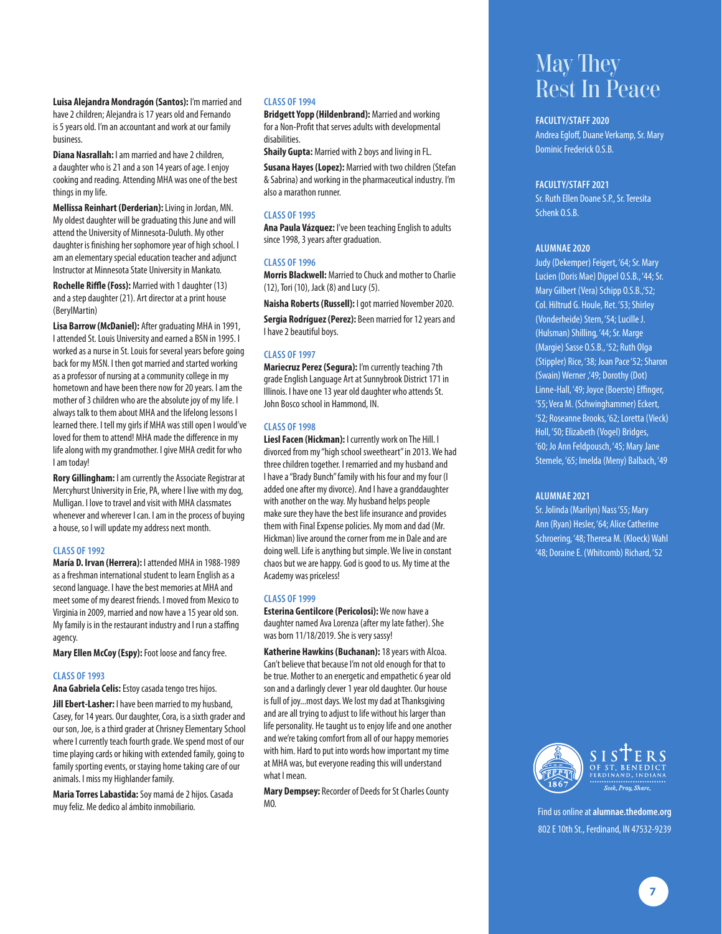**Luisa Alejandra Mondragón (Santos):** I'm married and have 2 children; Alejandra is 17 years old and Fernando is 5 years old. I'm an accountant and work at our family business.

**Diana Nasrallah:** I am married and have 2 children, a daughter who is 21 and a son 14 years of age. I enjoy cooking and reading. Attending MHA was one of the best things in my life.

**Mellissa Reinhart (Derderian):** Living in Jordan, MN. My oldest daughter will be graduating this June and will attend the University of Minnesota-Duluth. My other daughter is finishing her sophomore year of high school. I am an elementary special education teacher and adjunct Instructor at Minnesota State University in Mankato.

**Rochelle Riffle (Foss):** Married with 1 daughter (13) and a step daughter (21). Art director at a print house (BerylMartin)

**Lisa Barrow (McDaniel):** After graduating MHA in 1991, I attended St. Louis University and earned a BSN in 1995. I worked as a nurse in St. Louis for several years before going back for my MSN. I then got married and started working as a professor of nursing at a community college in my hometown and have been there now for 20 years. I am the mother of 3 children who are the absolute joy of my life. I always talk to them about MHA and the lifelong lessons I learned there. I tell my girls if MHA was still open I would've loved for them to attend! MHA made the difference in my life along with my grandmother. I give MHA credit for who I am today!

**Rory Gillingham:** I am currently the Associate Registrar at Mercyhurst University in Erie, PA, where I live with my dog, Mulligan. I love to travel and visit with MHA classmates whenever and wherever I can. I am in the process of buying a house, so I will update my address next month.

#### **CLASS OF 1992**

**María D. Irvan (Herrera):** I attended MHA in 1988-1989 as a freshman international student to learn English as a second language. I have the best memories at MHA and meet some of my dearest friends. I moved from Mexico to Virginia in 2009, married and now have a 15 year old son. My family is in the restaurant industry and I run a staffing agency.

**Mary Ellen McCoy (Espy):** Foot loose and fancy free.

#### **CLASS OF 1993**

**Ana Gabriela Celis:** Estoy casada tengo tres hijos.

**Jill Ebert-Lasher:** I have been married to my husband, Casey, for 14 years. Our daughter, Cora, is a sixth grader and our son, Joe, is a third grader at Chrisney Elementary School where I currently teach fourth grade. We spend most of our time playing cards or hiking with extended family, going to family sporting events, or staying home taking care of our animals. I miss my Highlander family.

**Maria Torres Labastida:** Soy mamá de 2 hijos. Casada muy feliz. Me dedico al ámbito inmobiliario.

#### **CLASS OF 1994**

**Bridgett Yopp (Hildenbrand):** Married and working for a Non-Profit that serves adults with developmental disabilities.

**Shaily Gupta:** Married with 2 boys and living in FL.

**Susana Hayes (Lopez):** Married with two children (Stefan & Sabrina) and working in the pharmaceutical industry. I'm also a marathon runner.

#### **CLASS OF 1995**

**Ana Paula Vázquez:** I've been teaching English to adults since 1998, 3 years after graduation.

#### **CLASS OF 1996**

**Morris Blackwell:** Married to Chuck and mother to Charlie (12), Tori (10), Jack (8) and Lucy (5).

**Naisha Roberts (Russell):** I got married November 2020.

**Sergia Rodríguez (Perez):** Been married for 12 years and I have 2 beautiful boys.

#### **CLASS OF 1997**

**Mariecruz Perez (Segura):** I'm currently teaching 7th grade English Language Art at Sunnybrook District 171 in Illinois. I have one 13 year old daughter who attends St. John Bosco school in Hammond, IN.

#### **CLASS OF 1998**

**Liesl Facen (Hickman):** I currently work on The Hill. I divorced from my "high school sweetheart" in 2013. We had three children together. I remarried and my husband and I have a "Brady Bunch" family with his four and my four (I added one after my divorce). And I have a granddaughter with another on the way. My husband helps people make sure they have the best life insurance and provides them with Final Expense policies. My mom and dad (Mr. Hickman) live around the corner from me in Dale and are doing well. Life is anything but simple. We live in constant chaos but we are happy. God is good to us. My time at the Academy was priceless!

#### **CLASS OF 1999**

**Esterina Gentilcore (Pericolosi):** We now have a daughter named Ava Lorenza (after my late father). She was born 11/18/2019. She is very sassy!

**Katherine Hawkins (Buchanan):** 18 years with Alcoa. Can't believe that because I'm not old enough for that to be true. Mother to an energetic and empathetic 6 year old son and a darlingly clever 1 year old daughter. Our house is full of joy...most days. We lost my dad at Thanksgiving and are all trying to adjust to life without his larger than life personality. He taught us to enjoy life and one another and we're taking comfort from all of our happy memories with him. Hard to put into words how important my time at MHA was, but everyone reading this will understand what I mean.

**Mary Dempsey:** Recorder of Deeds for St Charles County MO.

### May They Rest In Peace

#### **FACULTY/STAFF 2020**

Andrea Egloff, Duane Verkamp, Sr. Mary Dominic Frederick O.S.B.

#### **FACULTY/STAFF 2021**

Sr. Ruth Ellen Doane S.P., Sr. Teresita Schenk O.S.B.

#### **ALUMNAE 2020**

Judy (Dekemper) Feigert, '64; Sr. Mary Lucien (Doris Mae) Dippel O.S.B., '44; Sr. Mary Gilbert (Vera) Schipp O.S.B.,'52; Col. Hiltrud G. Houle, Ret. '53; Shirley (Vonderheide) Stern, '54; Lucille J. (Hulsman) Shilling, '44; Sr. Marge (Margie) Sasse O.S.B., '52; Ruth Olga (Stippler) Rice, '38; Joan Pace '52; Sharon (Swain) Werner ,'49; Dorothy (Dot) Linne-Hall, '49; Joyce (Boerste) Effinger, '55; Vera M. (Schwinghammer) Eckert, '52; Roseanne Brooks, '62; Loretta (Vieck) Holl, '50; Elizabeth (Vogel) Bridges, '60; Jo Ann Feldpousch, '45; Mary Jane Stemele, '65; Imelda (Meny) Balbach, '49

#### **ALUMNAE 2021**

Sr. Jolinda (Marilyn) Nass '55; Mary Ann (Ryan) Hesler, '64; Alice Catherine Schroering, '48; Theresa M. (Kloeck) Wahl '48; Doraine E. (Whitcomb) Richard, '52



802 E 10th St., Ferdinand, IN 47532-9239 Find us online at **alumnae.thedome.org**